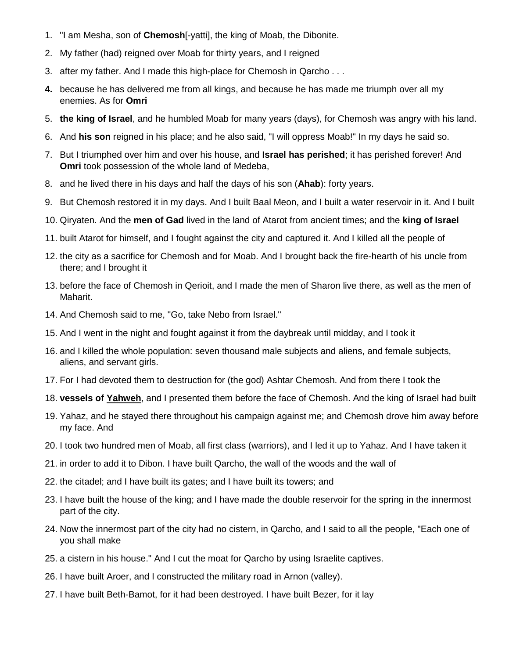- 1. "I am Mesha, son of **Chemosh**[-yatti], the king of Moab, the Dibonite.
- 2. My father (had) reigned over Moab for thirty years, and I reigned
- 3. after my father. And I made this high-place for Chemosh in Qarcho . . .
- **4.** because he has delivered me from all kings, and because he has made me triumph over all my enemies. As for **Omri**
- 5. **the king of Israel**, and he humbled Moab for many years (days), for Chemosh was angry with his land.
- 6. And **his son** reigned in his place; and he also said, "I will oppress Moab!" In my days he said so.
- 7. But I triumphed over him and over his house, and **Israel has perished**; it has perished forever! And **Omri** took possession of the whole land of Medeba,
- 8. and he lived there in his days and half the days of his son (**Ahab**): forty years.
- 9. But Chemosh restored it in my days. And I built Baal Meon, and I built a water reservoir in it. And I built
- 10. Qiryaten. And the **men of Gad** lived in the land of Atarot from ancient times; and the **king of Israel**
- 11. built Atarot for himself, and I fought against the city and captured it. And I killed all the people of
- 12. the city as a sacrifice for Chemosh and for Moab. And I brought back the fire-hearth of his uncle from there; and I brought it
- 13. before the face of Chemosh in Qerioit, and I made the men of Sharon live there, as well as the men of Maharit.
- 14. And Chemosh said to me, "Go, take Nebo from Israel."
- 15. And I went in the night and fought against it from the daybreak until midday, and I took it
- 16. and I killed the whole population: seven thousand male subjects and aliens, and female subjects, aliens, and servant girls.
- 17. For I had devoted them to destruction for (the god) Ashtar Chemosh. And from there I took the
- 18. **vessels of Yahweh**, and I presented them before the face of Chemosh. And the king of Israel had built
- 19. Yahaz, and he stayed there throughout his campaign against me; and Chemosh drove him away before my face. And
- 20. I took two hundred men of Moab, all first class (warriors), and I led it up to Yahaz. And I have taken it
- 21. in order to add it to Dibon. I have built Qarcho, the wall of the woods and the wall of
- 22. the citadel; and I have built its gates; and I have built its towers; and
- 23. I have built the house of the king; and I have made the double reservoir for the spring in the innermost part of the city.
- 24. Now the innermost part of the city had no cistern, in Qarcho, and I said to all the people, "Each one of you shall make
- 25. a cistern in his house." And I cut the moat for Qarcho by using Israelite captives.
- 26. I have built Aroer, and I constructed the military road in Arnon (valley).
- 27. I have built Beth-Bamot, for it had been destroyed. I have built Bezer, for it lay